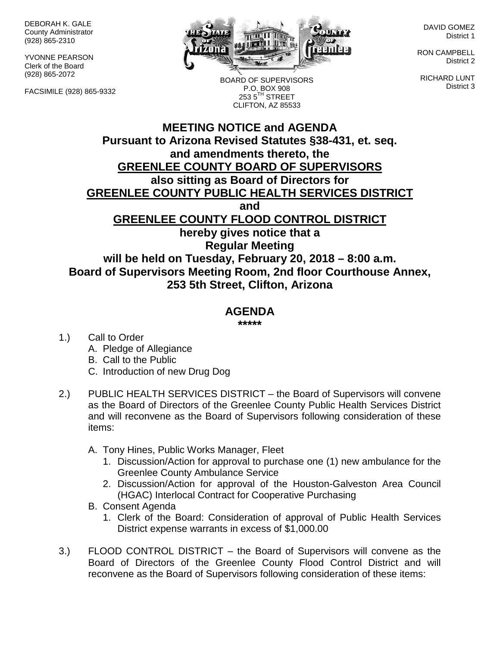DEBORAH K. GALE County Administrator (928) 865-2310

YVONNE PEARSON Clerk of the Board (928) 865-2072

FACSIMILE (928) 865-9332



DAVID GOMEZ District 1

RON CAMPBELL District 2

RICHARD LUNT District 3

BOARD OF SUPERVISORS P.O. BOX 908  $2535^{\text{TH}}$  STREET CLIFTON, AZ 85533

## **MEETING NOTICE and AGENDA Pursuant to Arizona Revised Statutes §38-431, et. seq. and amendments thereto, the GREENLEE COUNTY BOARD OF SUPERVISORS also sitting as Board of Directors for GREENLEE COUNTY PUBLIC HEALTH SERVICES DISTRICT and GREENLEE COUNTY FLOOD CONTROL DISTRICT hereby gives notice that a Regular Meeting will be held on Tuesday, February 20, 2018 – 8:00 a.m. Board of Supervisors Meeting Room, 2nd floor Courthouse Annex, 253 5th Street, Clifton, Arizona**

## **AGENDA**

**\*\*\*\*\***

1.) Call to Order

- A. Pledge of Allegiance
- B. Call to the Public
- C. Introduction of new Drug Dog
- 2.) PUBLIC HEALTH SERVICES DISTRICT the Board of Supervisors will convene as the Board of Directors of the Greenlee County Public Health Services District and will reconvene as the Board of Supervisors following consideration of these items:
	- A. Tony Hines, Public Works Manager, Fleet
		- 1. Discussion/Action for approval to purchase one (1) new ambulance for the Greenlee County Ambulance Service
		- 2. Discussion/Action for approval of the Houston-Galveston Area Council (HGAC) Interlocal Contract for Cooperative Purchasing
	- B. Consent Agenda
		- 1. Clerk of the Board: Consideration of approval of Public Health Services District expense warrants in excess of \$1,000.00
- 3.) FLOOD CONTROL DISTRICT the Board of Supervisors will convene as the Board of Directors of the Greenlee County Flood Control District and will reconvene as the Board of Supervisors following consideration of these items: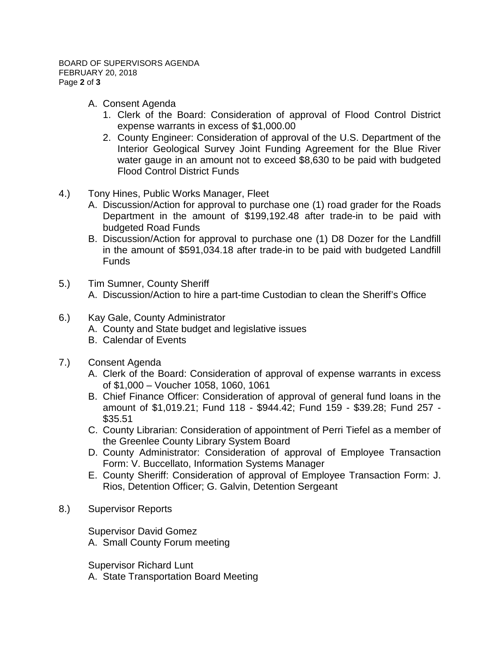- A. Consent Agenda
	- 1. Clerk of the Board: Consideration of approval of Flood Control District expense warrants in excess of \$1,000.00
	- 2. County Engineer: Consideration of approval of the U.S. Department of the Interior Geological Survey Joint Funding Agreement for the Blue River water gauge in an amount not to exceed \$8,630 to be paid with budgeted Flood Control District Funds
- 4.) Tony Hines, Public Works Manager, Fleet
	- A. Discussion/Action for approval to purchase one (1) road grader for the Roads Department in the amount of \$199,192.48 after trade-in to be paid with budgeted Road Funds
	- B. Discussion/Action for approval to purchase one (1) D8 Dozer for the Landfill in the amount of \$591,034.18 after trade-in to be paid with budgeted Landfill **Funds**
- 5.) Tim Sumner, County Sheriff A. Discussion/Action to hire a part-time Custodian to clean the Sheriff's Office
- 
- 6.) Kay Gale, County Administrator
	- A. County and State budget and legislative issues
	- B. Calendar of Events
- 7.) Consent Agenda
	- A. Clerk of the Board: Consideration of approval of expense warrants in excess of \$1,000 – Voucher 1058, 1060, 1061
	- B. Chief Finance Officer: Consideration of approval of general fund loans in the amount of \$1,019.21; Fund 118 - \$944.42; Fund 159 - \$39.28; Fund 257 - \$35.51
	- C. County Librarian: Consideration of appointment of Perri Tiefel as a member of the Greenlee County Library System Board
	- D. County Administrator: Consideration of approval of Employee Transaction Form: V. Buccellato, Information Systems Manager
	- E. County Sheriff: Consideration of approval of Employee Transaction Form: J. Rios, Detention Officer; G. Galvin, Detention Sergeant
- 8.) Supervisor Reports

Supervisor David Gomez

A. Small County Forum meeting

Supervisor Richard Lunt

A. State Transportation Board Meeting